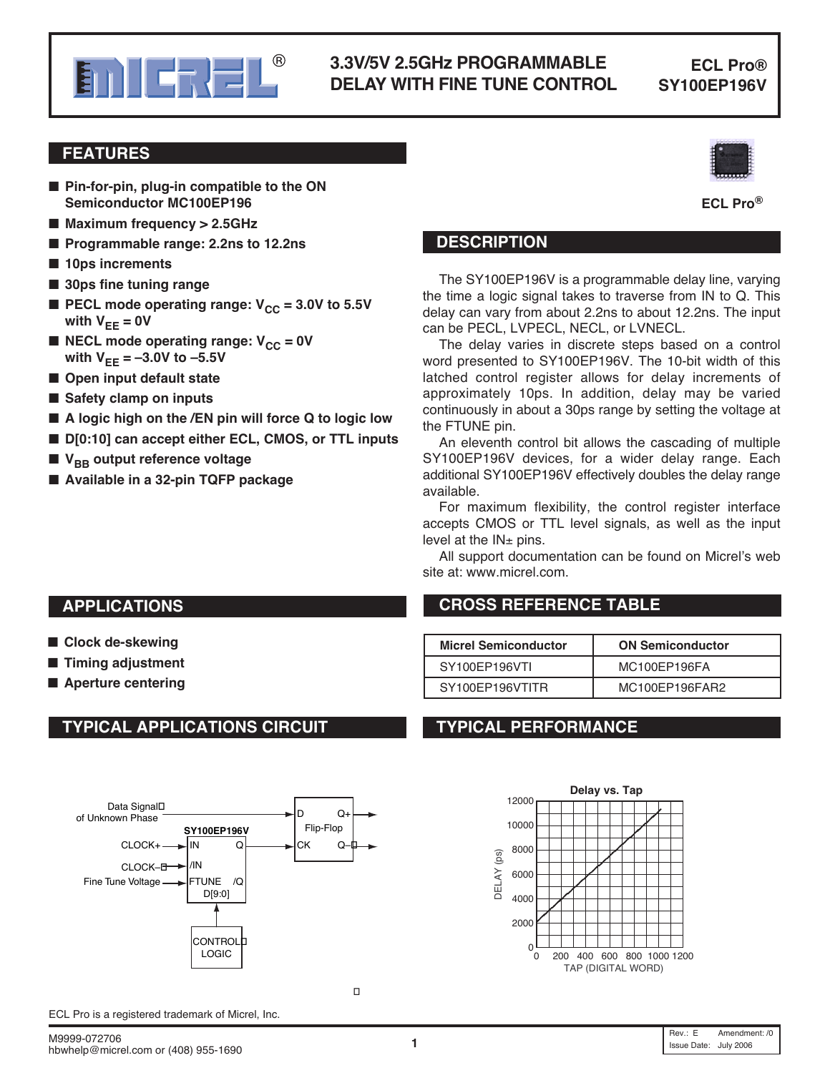

# **Micrel, Inc. SY100EP196V 3.3V/5V 2.5GHz PROGRAMMABLE DELAY WITH FINE TUNE CONTROL**

### **ECL Pro® SY100EP196V**

### **FEATURES**



- Maximum frequency > 2.5GHz
- **Programmable range: 2.2ns to 12.2ns**
- 10ps increments
- **30ps fine tuning range**
- **PECL mode operating range:**  $V_{CC} = 3.0V$  **to 5.5V** with  $V_{FF} = 0V$
- **NECL mode operating range:**  $V_{CC} = 0V$ with  $V_{FF} = -3.0V$  to  $-5.5V$
- Open input default state
- Safety clamp on inputs

**APPLICATIONS**

■ **Clock de-skewing** ■ **Timing adjustment** ■ Aperture centering

- **A logic high on the /EN pin will force Q to logic low**
- **D[0:10] can accept either ECL, CMOS, or TTL inputs**
- V<sub>BB</sub> output reference voltage
- **Available in a 32-pin TQFP package**



**ECL Pro®**

#### **ECL Pro®**

### **DESCRIPTION**

The SY100EP196V is a programmable delay line, varying the time a logic signal takes to traverse from IN to Q. This delay can vary from about 2.2ns to about 12.2ns. The input can be PECL, LVPECL, NECL, or LVNECL.

The delay varies in discrete steps based on a control word presented to SY100EP196V. The 10-bit width of this latched control register allows for delay increments of approximately 10ps. In addition, delay may be varied continuously in about a 30ps range by setting the voltage at the FTUNE pin.

An eleventh control bit allows the cascading of multiple SY100EP196V devices, for a wider delay range. Each additional SY100EP196V effectively doubles the delay range available.

For maximum flexibility, the control register interface accepts CMOS or TTL level signals, as well as the input level at the  $IN<sub>±</sub>$  pins.

All support documentation can be found on Micrel's web site at: www.micrel.com.

### **CROSS REFERENCE TABLE**

| <b>Micrel Semiconductor</b> | <b>ON Semiconductor</b> |
|-----------------------------|-------------------------|
| SY100EP196VTI               | MC100EP196FA            |
| SY100EP196VTITR             | MC100EP196FAR2          |

### **TYPICAL APPLICATIONS CIRCUIT TYPICAL PERFORMANCE**



 $\overline{\phantom{a}}$ 



ECL Pro is a registered trademark of Micrel, Inc.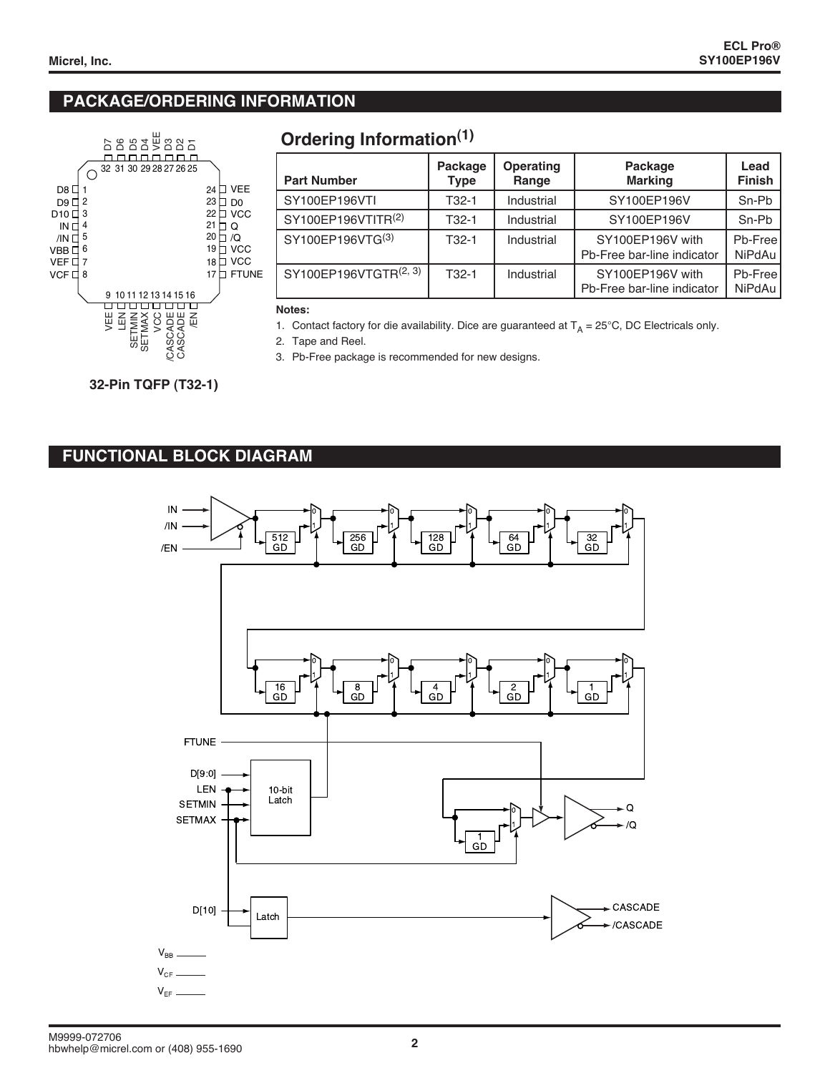## **PACKAGE/ORDERING INFORMATION**



# **Ordering Information(1)**

| <b>Part Number</b>                | Package<br><b>Type</b> | Operating<br>Range | Package<br><b>Marking</b>                      | Lead<br><b>Finish</b>    |
|-----------------------------------|------------------------|--------------------|------------------------------------------------|--------------------------|
| SY100EP196VTI                     | T <sub>32</sub> -1     | Industrial         | SY100EP196V                                    | Sn-Pb                    |
| SY100EP196VTITR(2)                | T32-1                  | Industrial         | SY100EP196V                                    | Sn-Pb                    |
| SY100EP196VTG(3)                  | T <sub>32</sub> -1     | Industrial         | SY100EP196V with<br>Pb-Free bar-line indicator | Pb-Free<br><b>NiPdAu</b> |
| SY100EP196VTGTR <sup>(2, 3)</sup> | T <sub>32</sub> -1     | Industrial         | SY100EP196V with<br>Pb-Free bar-line indicator | Pb-Free<br><b>NiPdAu</b> |

#### **Notes:**

1. Contact factory for die availability. Dice are guaranteed at  $T_A = 25^{\circ}$ C, DC Electricals only.

2. Tape and Reel.

3. Pb-Free package is recommended for new designs.

### **32-Pin TQFP (T32-1)**

### **FUNCTIONAL BLOCK DIAGRAM**

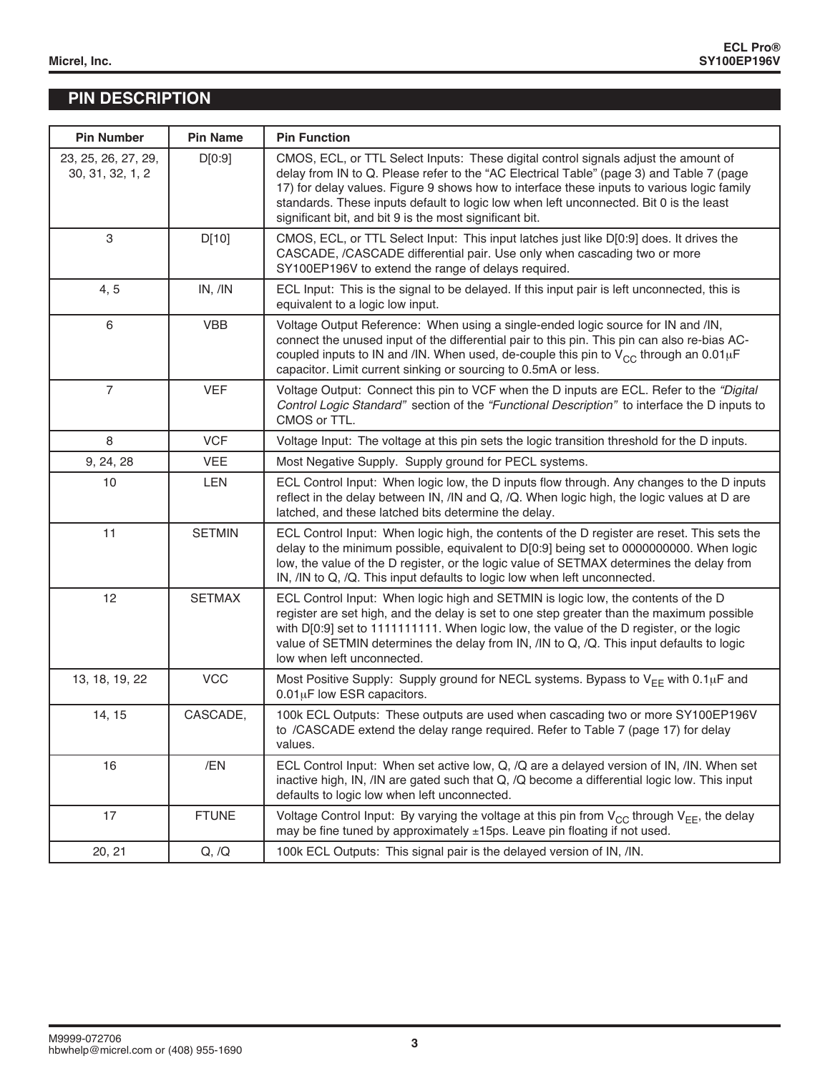# **PIN DESCRIPTION**

| <b>Pin Number</b>                       | <b>Pin Name</b> | <b>Pin Function</b>                                                                                                                                                                                                                                                                                                                                                                                                                |
|-----------------------------------------|-----------------|------------------------------------------------------------------------------------------------------------------------------------------------------------------------------------------------------------------------------------------------------------------------------------------------------------------------------------------------------------------------------------------------------------------------------------|
| 23, 25, 26, 27, 29,<br>30, 31, 32, 1, 2 | D[0:9]          | CMOS, ECL, or TTL Select Inputs: These digital control signals adjust the amount of<br>delay from IN to Q. Please refer to the "AC Electrical Table" (page 3) and Table 7 (page<br>17) for delay values. Figure 9 shows how to interface these inputs to various logic family<br>standards. These inputs default to logic low when left unconnected. Bit 0 is the least<br>significant bit, and bit 9 is the most significant bit. |
| $\,3$                                   | D[10]           | CMOS, ECL, or TTL Select Input: This input latches just like D[0:9] does. It drives the<br>CASCADE, /CASCADE differential pair. Use only when cascading two or more<br>SY100EP196V to extend the range of delays required.                                                                                                                                                                                                         |
| 4, 5                                    | IN, /IN         | ECL Input: This is the signal to be delayed. If this input pair is left unconnected, this is<br>equivalent to a logic low input.                                                                                                                                                                                                                                                                                                   |
| 6                                       | <b>VBB</b>      | Voltage Output Reference: When using a single-ended logic source for IN and /IN,<br>connect the unused input of the differential pair to this pin. This pin can also re-bias AC-<br>coupled inputs to IN and /IN. When used, de-couple this pin to $V_{CC}$ through an 0.01 $\mu$ F<br>capacitor. Limit current sinking or sourcing to 0.5mA or less.                                                                              |
| $\overline{7}$                          | <b>VEF</b>      | Voltage Output: Connect this pin to VCF when the D inputs are ECL. Refer to the "Digital<br>Control Logic Standard" section of the "Functional Description" to interface the D inputs to<br>CMOS or TTL.                                                                                                                                                                                                                           |
| $\,8\,$                                 | <b>VCF</b>      | Voltage Input: The voltage at this pin sets the logic transition threshold for the D inputs.                                                                                                                                                                                                                                                                                                                                       |
| 9, 24, 28                               | <b>VEE</b>      | Most Negative Supply. Supply ground for PECL systems.                                                                                                                                                                                                                                                                                                                                                                              |
| 10                                      | LEN             | ECL Control Input: When logic low, the D inputs flow through. Any changes to the D inputs<br>reflect in the delay between IN, /IN and Q, /Q. When logic high, the logic values at D are<br>latched, and these latched bits determine the delay.                                                                                                                                                                                    |
| 11                                      | <b>SETMIN</b>   | ECL Control Input: When logic high, the contents of the D register are reset. This sets the<br>delay to the minimum possible, equivalent to D[0:9] being set to 0000000000. When logic<br>low, the value of the D register, or the logic value of SETMAX determines the delay from<br>IN, /IN to Q, /Q. This input defaults to logic low when left unconnected.                                                                    |
| 12                                      | <b>SETMAX</b>   | ECL Control Input: When logic high and SETMIN is logic low, the contents of the D<br>register are set high, and the delay is set to one step greater than the maximum possible<br>with D[0:9] set to 11111111111. When logic low, the value of the D register, or the logic<br>value of SETMIN determines the delay from IN, /IN to Q, /Q. This input defaults to logic<br>low when left unconnected.                              |
| 13, 18, 19, 22                          | <b>VCC</b>      | Most Positive Supply: Supply ground for NECL systems. Bypass to $V_{EE}$ with 0.1 $\mu$ F and<br>$0.01\mu$ F low ESR capacitors.                                                                                                                                                                                                                                                                                                   |
| 14, 15                                  | CASCADE,        | 100k ECL Outputs: These outputs are used when cascading two or more SY100EP196V<br>to /CASCADE extend the delay range required. Refer to Table 7 (page 17) for delay<br>values.                                                                                                                                                                                                                                                    |
| 16                                      | /EN             | ECL Control Input: When set active low, Q, /Q are a delayed version of IN, /IN. When set<br>inactive high, IN, /IN are gated such that Q, /Q become a differential logic low. This input<br>defaults to logic low when left unconnected.                                                                                                                                                                                           |
| 17                                      | <b>FTUNE</b>    | Voltage Control Input: By varying the voltage at this pin from $V_{CC}$ through $V_{FF}$ , the delay<br>may be fine tuned by approximately ±15ps. Leave pin floating if not used.                                                                                                                                                                                                                                                  |
| 20, 21                                  | Q, /Q           | 100k ECL Outputs: This signal pair is the delayed version of IN, /IN.                                                                                                                                                                                                                                                                                                                                                              |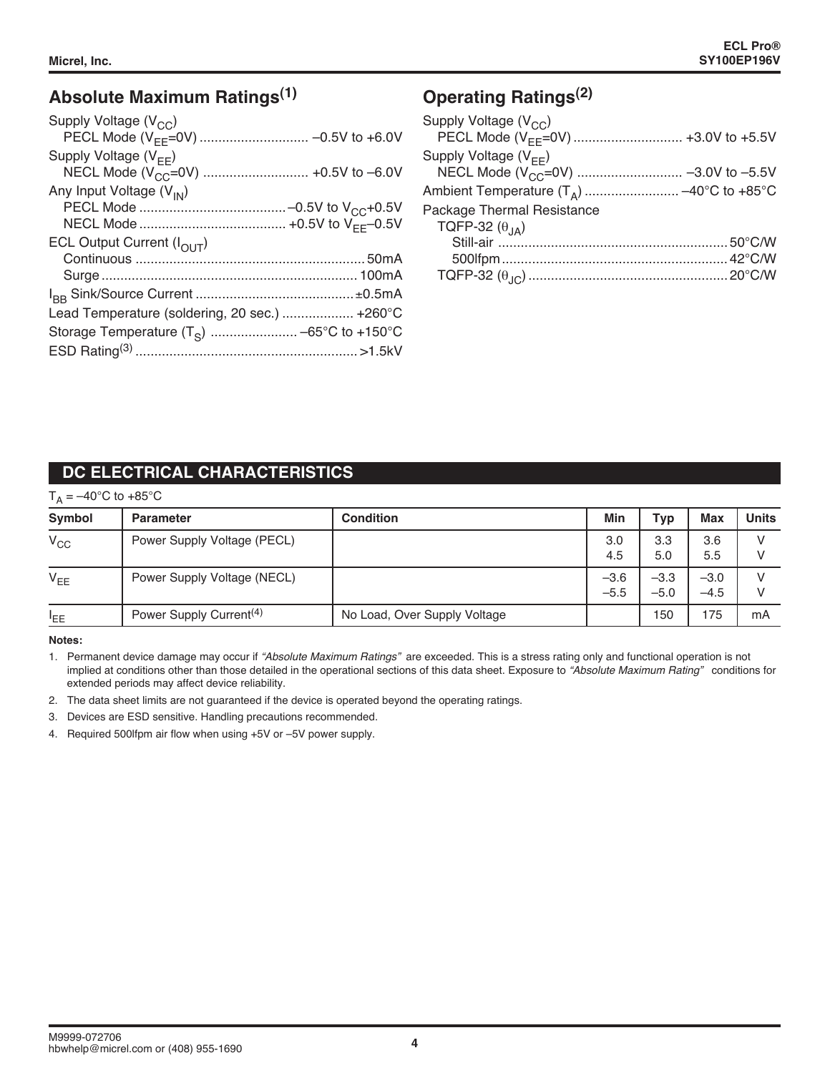# **Absolute Maximum Ratings(1)**

| Supply Voltage (V <sub>CC</sub> )                                            |  |
|------------------------------------------------------------------------------|--|
| Supply Voltage $(V_{FF})$<br>NECL Mode (V <sub>CC</sub> =0V)  +0.5V to -6.0V |  |
| Any Input Voltage (V <sub>IN</sub> )                                         |  |
| ECL Output Current $(I_{\text{OUT}})$                                        |  |
|                                                                              |  |
| Lead Temperature (soldering, 20 sec.)  +260°C                                |  |
|                                                                              |  |

# **Operating Ratings(2)**

| Supply Voltage (V <sub>CC</sub> )               |  |
|-------------------------------------------------|--|
|                                                 |  |
| Supply Voltage $(V_{FF})$                       |  |
| NECL Mode (V <sub>CC</sub> =0V)  -3.0V to -5.5V |  |
|                                                 |  |
| Package Thermal Resistance                      |  |
| TQFP-32 $(\theta_{JA})$                         |  |
|                                                 |  |
|                                                 |  |
|                                                 |  |

# **DC ELECTRICAL CHARACTERISTICS**

| $T_A = -40^{\circ}$ C to +85 $^{\circ}$ C |                                     |                              |                  |                  |                  |              |  |  |
|-------------------------------------------|-------------------------------------|------------------------------|------------------|------------------|------------------|--------------|--|--|
| Symbol                                    | <b>Parameter</b>                    | <b>Condition</b>             | Min              | Typ              | <b>Max</b>       | <b>Units</b> |  |  |
| $V_{\rm CC}$                              | Power Supply Voltage (PECL)         |                              | 3.0<br>4.5       | 3.3<br>5.0       | 3.6<br>5.5       |              |  |  |
| $V_{EE}$                                  | Power Supply Voltage (NECL)         |                              | $-3.6$<br>$-5.5$ | $-3.3$<br>$-5.0$ | $-3.0$<br>$-4.5$ |              |  |  |
| 'EE                                       | Power Supply Current <sup>(4)</sup> | No Load, Over Supply Voltage |                  | 150              | 175              | mA           |  |  |

**Notes:**

1. Permanent device damage may occur if "Absolute Maximum Ratings" are exceeded. This is a stress rating only and functional operation is not implied at conditions other than those detailed in the operational sections of this data sheet. Exposure to "Absolute Maximum Rating" conditions for extended periods may affect device reliability.

2. The data sheet limits are not guaranteed if the device is operated beyond the operating ratings.

3. Devices are ESD sensitive. Handling precautions recommended.

4. Required 500lfpm air flow when using +5V or –5V power supply.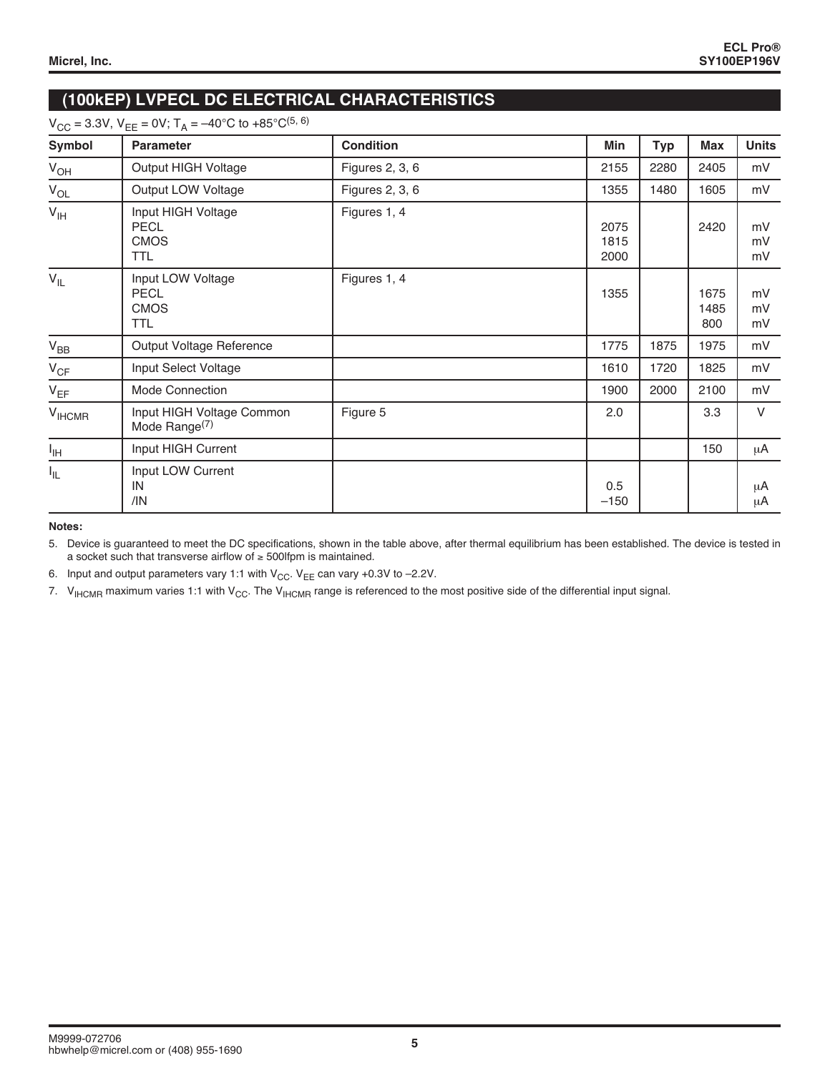# **(100kEP) LVPECL DC ELECTRICAL CHARACTERISTICS**

# $V_{CC}$  = 3.3V,  $V_{EE}$  = 0V;  $T_A$  = -40°C to +85°C(5, 6)

| Symbol            | <b>Parameter</b>                                               | <b>Condition</b> | Min                  | <b>Typ</b> | <b>Max</b>          | <b>Units</b>   |
|-------------------|----------------------------------------------------------------|------------------|----------------------|------------|---------------------|----------------|
| $V_{OH}$          | Output HIGH Voltage                                            | Figures 2, 3, 6  | 2155                 | 2280       | 2405                | mV             |
| $V_{OL}$          | Output LOW Voltage                                             | Figures 2, 3, 6  | 1355                 | 1480       | 1605                | mV             |
| $V_{\text{IH}}$   | Input HIGH Voltage<br><b>PECL</b><br><b>CMOS</b><br><b>TTL</b> | Figures 1, 4     | 2075<br>1815<br>2000 |            | 2420                | mV<br>mV<br>mV |
| $V_{IL}$          | Input LOW Voltage<br><b>PECL</b><br><b>CMOS</b><br><b>TTL</b>  | Figures 1, 4     | 1355                 |            | 1675<br>1485<br>800 | mV<br>mV<br>mV |
| $\rm V_{BB}$      | Output Voltage Reference                                       |                  | 1775                 | 1875       | 1975                | mV             |
| $V_{CF}$          | Input Select Voltage                                           |                  | 1610                 | 1720       | 1825                | mV             |
| $V_{EF}$          | Mode Connection                                                |                  | 1900                 | 2000       | 2100                | mV             |
| V <sub>HCMR</sub> | Input HIGH Voltage Common<br>Mode Range <sup>(7)</sup>         | Figure 5         | 2.0                  |            | 3.3                 | $\vee$         |
| $I_{\text{IH}}$   | Input HIGH Current                                             |                  |                      |            | 150                 | μA             |
| $I_{IL}$          | Input LOW Current<br>IN<br>/IN                                 |                  | 0.5<br>$-150$        |            |                     | μA<br>μA       |

#### **Notes:**

5. Device is guaranteed to meet the DC specifications, shown in the table above, after thermal equilibrium has been established. The device is tested in a socket such that transverse airflow of ≥ 500lfpm is maintained.

6. Input and output parameters vary 1:1 with  $V_{CC}$ .  $V_{EE}$  can vary +0.3V to -2.2V.

7. V<sub>IHCMR</sub> maximum varies 1:1 with V<sub>CC</sub>. The V<sub>IHCMR</sub> range is referenced to the most positive side of the differential input signal.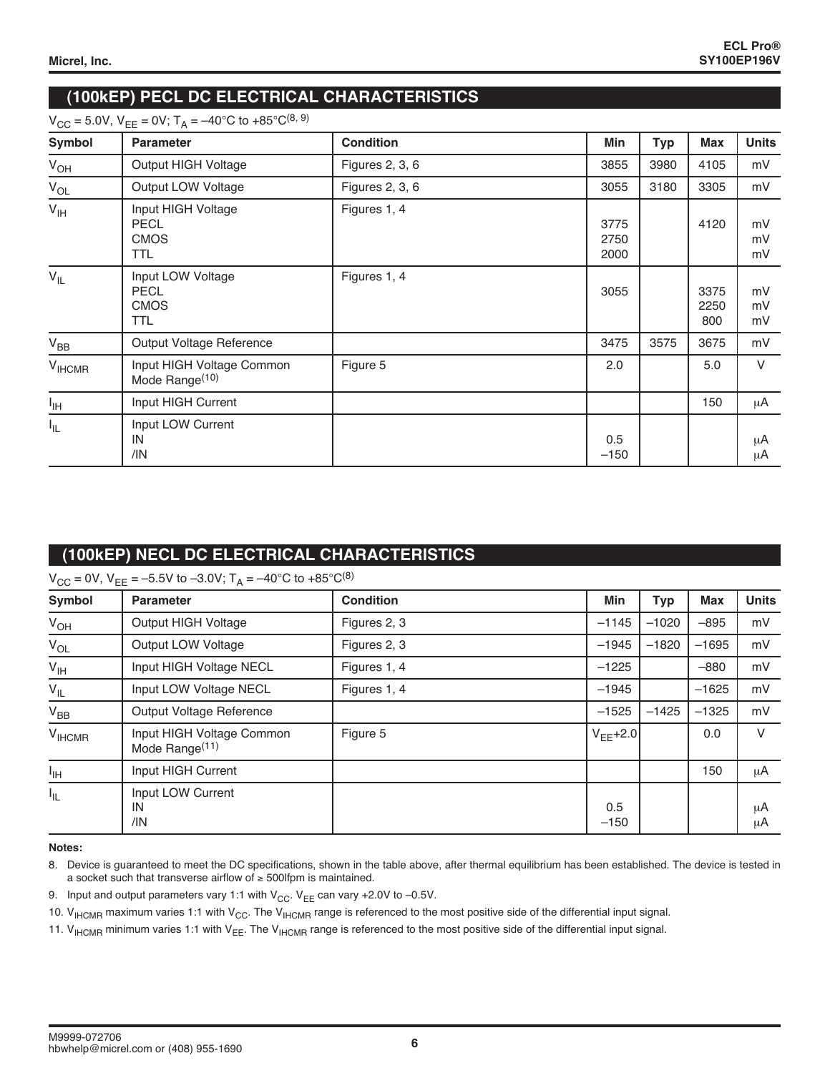# **(100kEP) PECL DC ELECTRICAL CHARACTERISTICS**

 $V_{CC} = 5.0V$ ,  $V_{EE} = 0V$ ;  $T_A = -40^{\circ}C$  to  $+85^{\circ}C^{(8, 9)}$ 

| Symbol            | <b>Parameter</b>                                               | <b>Condition</b> | Min                  | <b>Typ</b> | <b>Max</b>          | <b>Units</b>   |
|-------------------|----------------------------------------------------------------|------------------|----------------------|------------|---------------------|----------------|
| $V_{OH}$          | Output HIGH Voltage                                            | Figures 2, 3, 6  | 3855                 | 3980       | 4105                | mV             |
| $V_{OL}$          | Output LOW Voltage                                             | Figures 2, 3, 6  | 3055                 | 3180       | 3305                | mV             |
| $V_{\text{IH}}$   | Input HIGH Voltage<br><b>PECL</b><br><b>CMOS</b><br><b>TTL</b> | Figures 1, 4     | 3775<br>2750<br>2000 |            | 4120                | mV<br>mV<br>mV |
| $V_{IL}$          | Input LOW Voltage<br><b>PECL</b><br><b>CMOS</b><br>TTL         | Figures 1, 4     | 3055                 |            | 3375<br>2250<br>800 | mV<br>mV<br>mV |
| $V_{BB}$          | Output Voltage Reference                                       |                  | 3475                 | 3575       | 3675                | mV             |
| V <sub>HCMR</sub> | Input HIGH Voltage Common<br>Mode Range <sup>(10)</sup>        | Figure 5         | 2.0                  |            | 5.0                 | $\vee$         |
| $I_{\rm IH}$      | Input HIGH Current                                             |                  |                      |            | 150                 | μA             |
| I <sub>IL</sub>   | Input LOW Current<br>IN<br>/IN                                 |                  | 0.5<br>$-150$        |            |                     | μA<br>μA       |

# **(100kEP) NECL DC ELECTRICAL CHARACTERISTICS**

| $V_{CC}$ = 0V, $V_{FE}$ = -5.5V to -3.0V; T <sub>A</sub> = -40°C to +85°C <sup>(8)</sup> |                                                         |                  |  |               |         |            |              |  |
|------------------------------------------------------------------------------------------|---------------------------------------------------------|------------------|--|---------------|---------|------------|--------------|--|
| Symbol                                                                                   | <b>Parameter</b>                                        | <b>Condition</b> |  | Min           | Typ     | <b>Max</b> | <b>Units</b> |  |
| $V_{OH}$                                                                                 | Output HIGH Voltage                                     | Figures 2, 3     |  | $-1145$       | $-1020$ | $-895$     | mV           |  |
| $V_{OL}$                                                                                 | Output LOW Voltage                                      | Figures 2, 3     |  | $-1945$       | $-1820$ | $-1695$    | mV           |  |
| $V_{\text{IH}}$                                                                          | Input HIGH Voltage NECL                                 | Figures 1, 4     |  | $-1225$       |         | $-880$     | mV           |  |
| $V_{IL}$                                                                                 | Input LOW Voltage NECL                                  | Figures 1, 4     |  | $-1945$       |         | $-1625$    | mV           |  |
| $\rm V_{BB}$                                                                             | Output Voltage Reference                                |                  |  | $-1525$       | $-1425$ | $-1325$    | mV           |  |
| V <sub>HCMR</sub>                                                                        | Input HIGH Voltage Common<br>Mode Range <sup>(11)</sup> | Figure 5         |  | $V_{FF}$ +2.0 |         | 0.0        | V            |  |
| Iн                                                                                       | Input HIGH Current                                      |                  |  |               |         | 150        | μA           |  |
| ŀμ                                                                                       | Input LOW Current<br>IN<br>/IN                          |                  |  | 0.5<br>$-150$ |         |            | μA<br>μA     |  |

**Notes:**

8. Device is guaranteed to meet the DC specifications, shown in the table above, after thermal equilibrium has been established. The device is tested in a socket such that transverse airflow of ≥ 500lfpm is maintained.

9. Input and output parameters vary 1:1 with  $V_{CC}$ .  $V_{EE}$  can vary +2.0V to -0.5V.

10.  $V_{HCMR}$  maximum varies 1:1 with  $V_{CC}$ . The  $V_{HCMR}$  range is referenced to the most positive side of the differential input signal.

11. V<sub>IHCMR</sub> minimum varies 1:1 with V<sub>EE</sub>. The V<sub>IHCMR</sub> range is referenced to the most positive side of the differential input signal.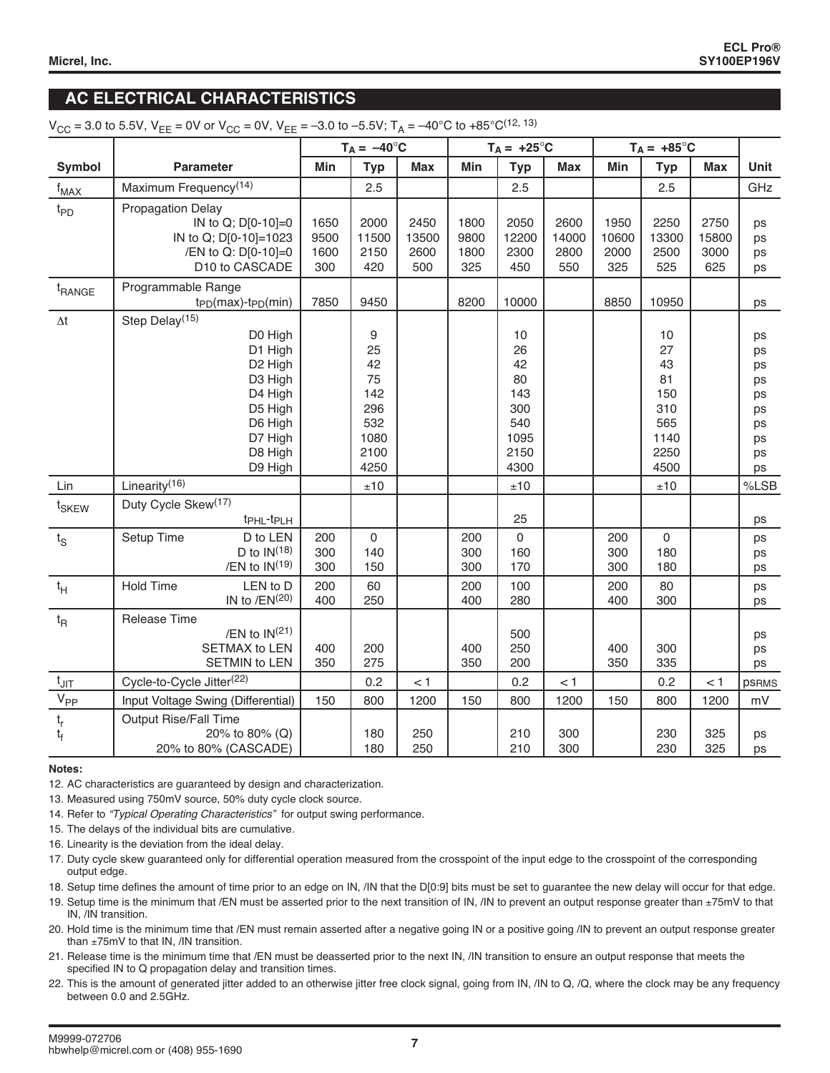## **AC ELECTRICAL CHARACTERISTICS**

|                                    |                                                                                                                                           |         | $T_A = -40^{\circ}C$        |                                                                  | $T_A = +25^{\circ}C$         |                             | $T_A = +85^{\circ}C$                                              |                              |                              |                                                                   |                              |                                                          |
|------------------------------------|-------------------------------------------------------------------------------------------------------------------------------------------|---------|-----------------------------|------------------------------------------------------------------|------------------------------|-----------------------------|-------------------------------------------------------------------|------------------------------|------------------------------|-------------------------------------------------------------------|------------------------------|----------------------------------------------------------|
| <b>Symbol</b>                      | <b>Parameter</b>                                                                                                                          |         | Min                         | <b>Typ</b>                                                       | <b>Max</b>                   | Min                         | <b>Typ</b>                                                        | <b>Max</b>                   | Min                          | <b>Typ</b>                                                        | <b>Max</b>                   | Unit                                                     |
| $f_{MAX}$                          | Maximum Frequency <sup>(14)</sup>                                                                                                         |         |                             | 2.5                                                              |                              |                             | 2.5                                                               |                              |                              | 2.5                                                               |                              | GHz                                                      |
| $t_{PD}$                           | <b>Propagation Delay</b><br>IN to Q; D[0-10]=0<br>IN to Q; D[0-10]=1023<br>/EN to Q: D[0-10]=0<br>D10 to CASCADE                          |         | 1650<br>9500<br>1600<br>300 | 2000<br>11500<br>2150<br>420                                     | 2450<br>13500<br>2600<br>500 | 1800<br>9800<br>1800<br>325 | 2050<br>12200<br>2300<br>450                                      | 2600<br>14000<br>2800<br>550 | 1950<br>10600<br>2000<br>325 | 2250<br>13300<br>2500<br>525                                      | 2750<br>15800<br>3000<br>625 | ps<br>ps<br>ps<br>ps                                     |
| <sup>t</sup> RANGE                 | Programmable Range<br>$tp_D(max)-tp_D(min)$                                                                                               |         | 7850                        | 9450                                                             |                              | 8200                        | 10000                                                             |                              | 8850                         | 10950                                                             |                              | ps                                                       |
| $\Delta t$                         | Step Delay <sup>(15)</sup><br>D0 High<br>D1 High<br>D <sub>2</sub> High<br>D3 High<br>D4 High<br>D5 High<br>D6 High<br>D8 High<br>D9 High | D7 High |                             | 9<br>25<br>42<br>75<br>142<br>296<br>532<br>1080<br>2100<br>4250 |                              |                             | 10<br>26<br>42<br>80<br>143<br>300<br>540<br>1095<br>2150<br>4300 |                              |                              | 10<br>27<br>43<br>81<br>150<br>310<br>565<br>1140<br>2250<br>4500 |                              | ps<br>ps<br>ps<br>ps<br>ps<br>ps<br>ps<br>ps<br>ps<br>ps |
| Lin                                | Linearity <sup>(16)</sup>                                                                                                                 |         |                             | ±10                                                              |                              |                             | ±10                                                               |                              |                              | ±10                                                               |                              | %LSB                                                     |
| t <sub>SKEW</sub>                  | Duty Cycle Skew <sup>(17)</sup><br>t <sub>PHL</sub> -t <sub>PLH</sub>                                                                     |         |                             |                                                                  |                              |                             | 25                                                                |                              |                              |                                                                   |                              | ps                                                       |
| $t_{\rm S}$                        | D to LEN<br>Setup Time<br>D to $IN(18)$<br>/EN to $IN(19)$                                                                                |         | 200<br>300<br>300           | $\mathbf 0$<br>140<br>150                                        |                              | 200<br>300<br>300           | 0<br>160<br>170                                                   |                              | 200<br>300<br>300            | 0<br>180<br>180                                                   |                              | ps<br>ps<br>ps                                           |
| $t_H$                              | <b>Hold Time</b><br>LEN to D<br>IN to $/EN^{(20)}$                                                                                        |         | 200<br>400                  | 60<br>250                                                        |                              | 200<br>400                  | 100<br>280                                                        |                              | 200<br>400                   | 80<br>300                                                         |                              | ps<br>ps                                                 |
| $t_{R}$                            | <b>Release Time</b><br>/EN to $IN(21)$<br>SETMAX to LEN<br>SETMIN to LEN                                                                  |         | 400<br>350                  | 200<br>275                                                       |                              | 400<br>350                  | 500<br>250<br>200                                                 |                              | 400<br>350                   | 300<br>335                                                        |                              | ps<br>ps<br>ps                                           |
| $t_{\text{JIT}}$                   | Cycle-to-Cycle Jitter(22)                                                                                                                 |         |                             | 0.2                                                              | < 1                          |                             | 0.2                                                               | < 1                          |                              | 0.2                                                               | < 1                          | psRMS                                                    |
| $\mathsf{V}_{\mathsf{PP}}$         | Input Voltage Swing (Differential)                                                                                                        |         | 150                         | 800                                                              | 1200                         | 150                         | 800                                                               | 1200                         | 150                          | 800                                                               | 1200                         | mV                                                       |
| $\mathsf{t}_{\mathsf{r}}$<br>$t_f$ | <b>Output Rise/Fall Time</b><br>20% to 80% (Q)<br>20% to 80% (CASCADE)                                                                    |         |                             | 180<br>180                                                       | 250<br>250                   |                             | 210<br>210                                                        | 300<br>300                   |                              | 230<br>230                                                        | 325<br>325                   | ps<br>ps                                                 |

#### **Notes:**

12. AC characteristics are guaranteed by design and characterization.

13. Measured using 750mV source, 50% duty cycle clock source.

14. Refer to "Typical Operating Characteristics" for output swing performance.

15. The delays of the individual bits are cumulative.

16. Linearity is the deviation from the ideal delay.

17. Duty cycle skew guaranteed only for differential operation measured from the crosspoint of the input edge to the crosspoint of the corresponding output edge.

18. Setup time defines the amount of time prior to an edge on IN, /IN that the D[0:9] bits must be set to guarantee the new delay will occur for that edge.

19. Setup time is the minimum that /EN must be asserted prior to the next transition of IN, /IN to prevent an output response greater than ±75mV to that IN, /IN transition.

20. Hold time is the minimum time that /EN must remain asserted after a negative going IN or a positive going /IN to prevent an output response greater than ±75mV to that IN, /IN transition.

21. Release time is the minimum time that /EN must be deasserted prior to the next IN, /IN transition to ensure an output response that meets the specified IN to Q propagation delay and transition times.

22. This is the amount of generated jitter added to an otherwise jitter free clock signal, going from IN, /IN to Q, /Q, where the clock may be any frequency between 0.0 and 2.5GHz.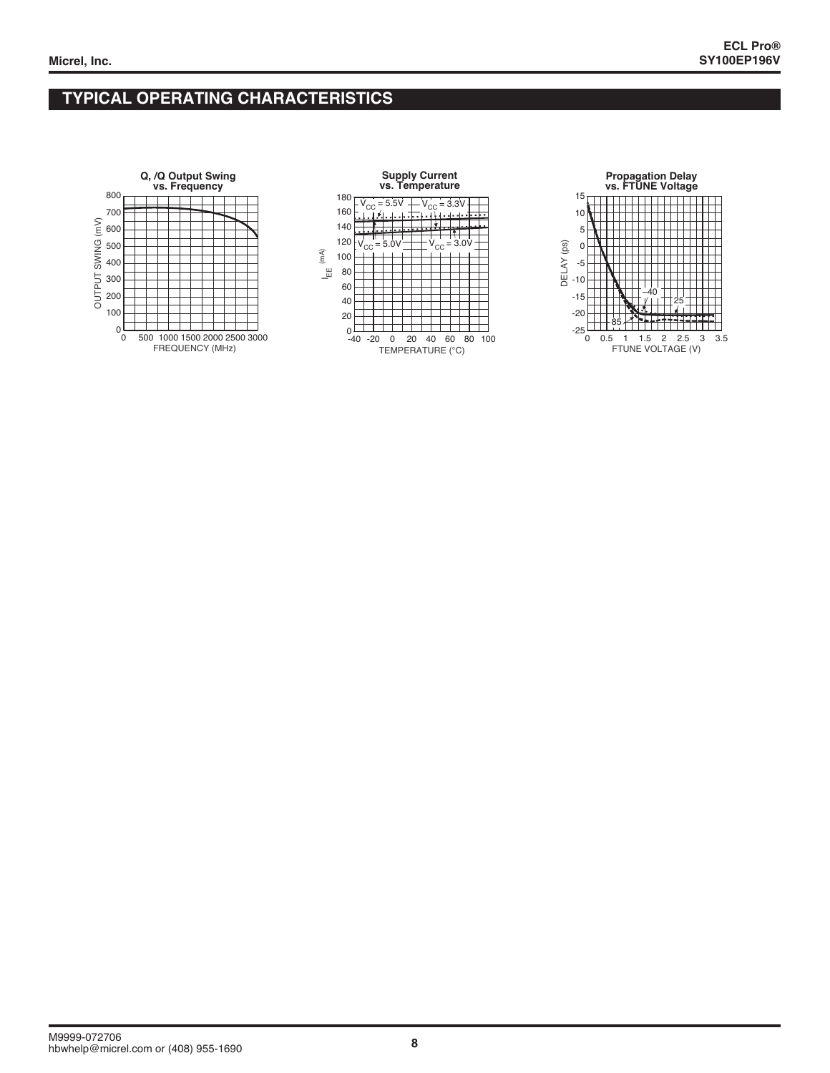# **TYPICAL OPERATING CHARACTERISTICS**





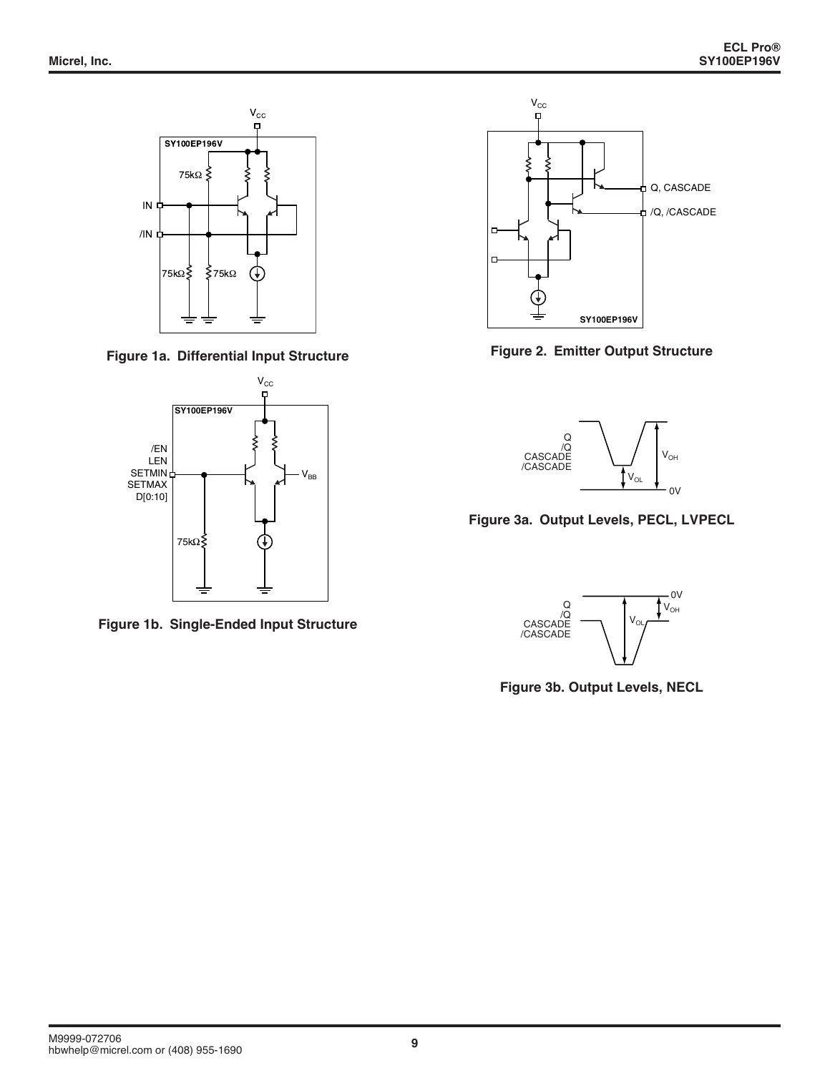

**Figure 1a. Differential Input Structure**



**Figure 1b. Single-Ended Input Structure**



**Figure 2. Emitter Output Structure**



**Figure 3a. Output Levels, PECL, LVPECL**



**Figure 3b. Output Levels, NECL**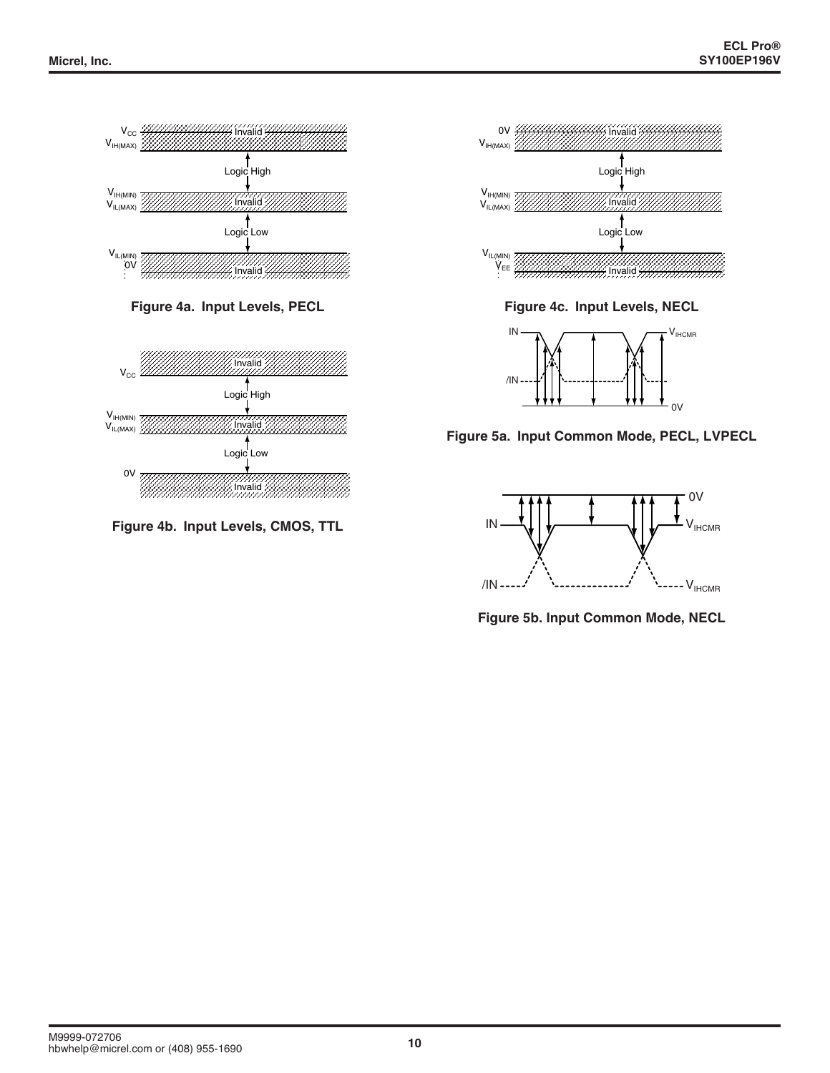





**Figure 4b. Input Levels, CMOS, TTL**



**Figure 4c. Input Levels, NECL**



**Figure 5a. Input Common Mode, PECL, LVPECL**



**Figure 5b. Input Common Mode, NECL**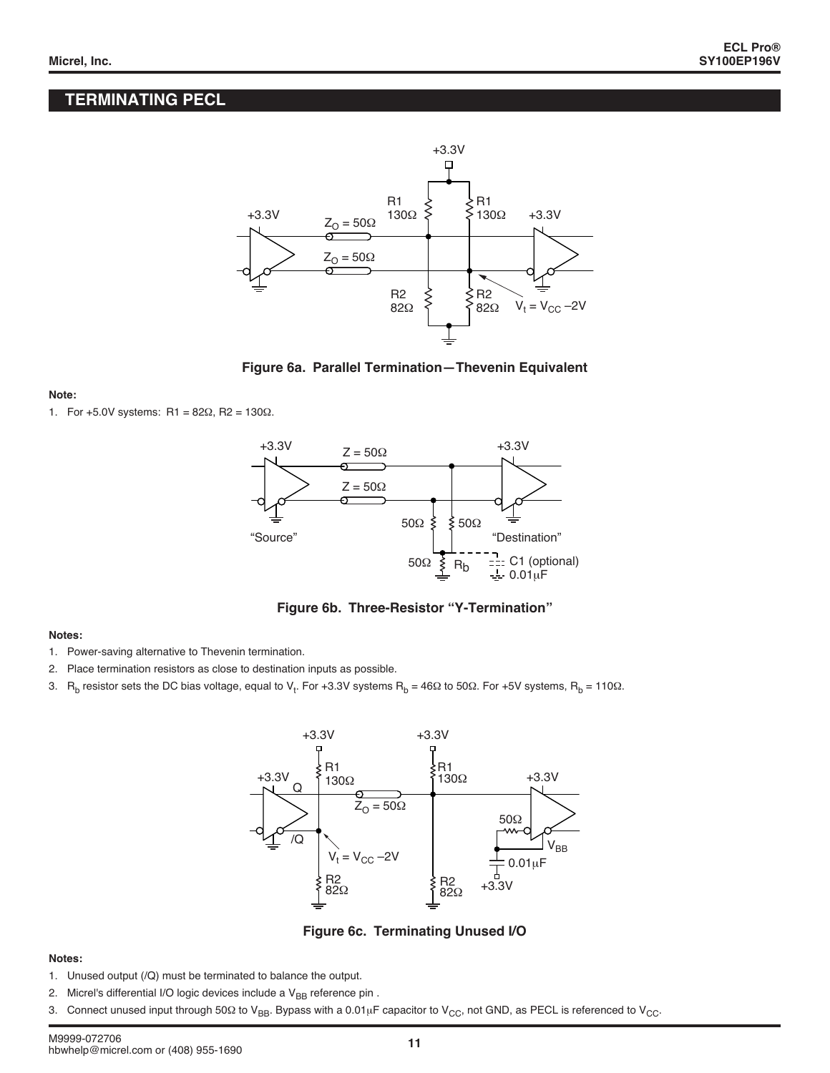# **TERMINATING PECL**



**Figure 6a. Parallel Termination—Thevenin Equivalent**

#### **Note:**

1. For +5.0V systems: R1 = 82Ω, R2 = 130Ω.



#### **Figure 6b. Three-Resistor "Y-Termination"**

#### **Notes:**

- 1. Power-saving alternative to Thevenin termination.
- 2. Place termination resistors as close to destination inputs as possible.
- 3.  $\,$  R<sub>b</sub> resistor sets the DC bias voltage, equal to V<sub>t</sub>. For +3.3V systems R<sub>b</sub> = 46Ω to 50Ω. For +5V systems, R<sub>b</sub> = 110Ω.



**Figure 6c. Terminating Unused I/O**

#### **Notes:**

- 1. Unused output (/Q) must be terminated to balance the output.
- 2. Micrel's differential I/O logic devices include a  $V_{BB}$  reference pin.
- 3. Connect unused input through 50Ω to V<sub>BB</sub>. Bypass with a 0.01µF capacitor to V<sub>CC</sub>, not GND, as PECL is referenced to V<sub>CC</sub>.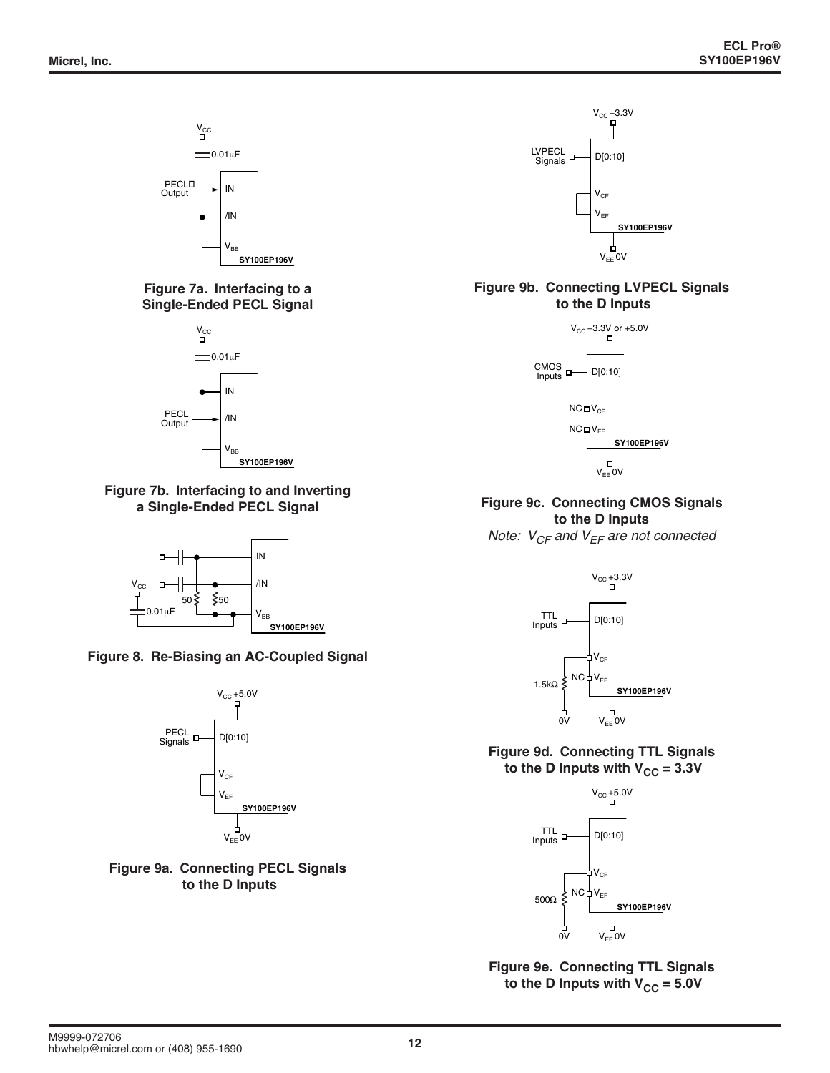

#### **Figure 7a. Interfacing to a Single-Ended PECL Signal**







### **Figure 8. Re-Biasing an AC-Coupled Signal**



#### **Figure 9a. Connecting PECL Signals to the D Inputs**



#### **Figure 9b. Connecting LVPECL Signals to the D Inputs**



### **Figure 9c. Connecting CMOS Signals to the D Inputs** Note:  $V_{CF}$  and  $V_{EF}$  are not connected



### **Figure 9d. Connecting TTL Signals** to the D Inputs with  $V_{CC} = 3.3V$



**Figure 9e. Connecting TTL Signals** to the D Inputs with  $V_{CC} = 5.0V$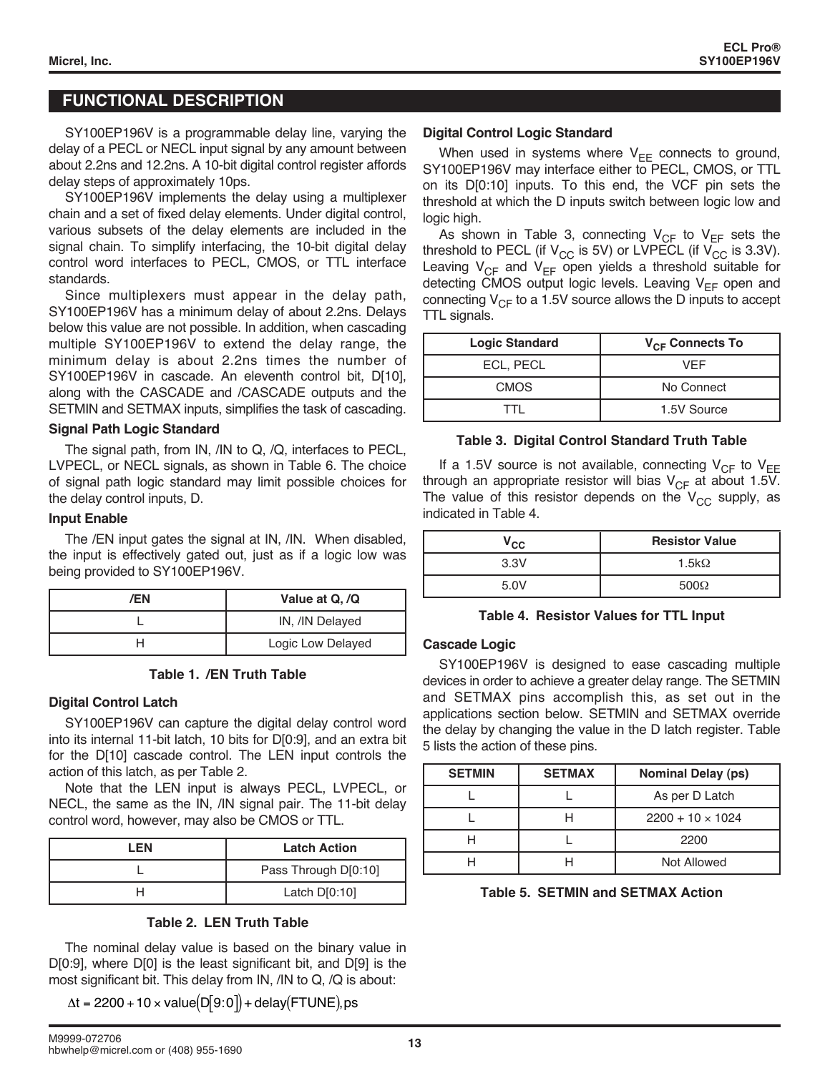SY100EP196V is a programmable delay line, varying the delay of a PECL or NECL input signal by any amount between about 2.2ns and 12.2ns. A 10-bit digital control register affords delay steps of approximately 10ps.

SY100EP196V implements the delay using a multiplexer chain and a set of fixed delay elements. Under digital control, various subsets of the delay elements are included in the signal chain. To simplify interfacing, the 10-bit digital delay control word interfaces to PECL, CMOS, or TTL interface standards.

Since multiplexers must appear in the delay path, SY100EP196V has a minimum delay of about 2.2ns. Delays below this value are not possible. In addition, when cascading multiple SY100EP196V to extend the delay range, the minimum delay is about 2.2ns times the number of SY100EP196V in cascade. An eleventh control bit, D[10], along with the CASCADE and /CASCADE outputs and the SETMIN and SETMAX inputs, simplifies the task of cascading.

#### **Signal Path Logic Standard**

The signal path, from IN, /IN to Q, /Q, interfaces to PECL, LVPECL, or NECL signals, as shown in Table 6. The choice of signal path logic standard may limit possible choices for the delay control inputs, D.

#### **Input Enable**

The /EN input gates the signal at IN, /IN. When disabled, the input is effectively gated out, just as if a logic low was being provided to SY100EP196V.

| /EN | Value at Q, /Q    |
|-----|-------------------|
|     | IN, /IN Delayed   |
|     | Logic Low Delayed |

#### **Table 1. /EN Truth Table**

#### **Digital Control Latch**

SY100EP196V can capture the digital delay control word into its internal 11-bit latch, 10 bits for D[0:9], and an extra bit for the D[10] cascade control. The LEN input controls the action of this latch, as per Table 2.

Note that the LEN input is always PECL, LVPECL, or NECL, the same as the IN, /IN signal pair. The 11-bit delay control word, however, may also be CMOS or TTL.

| I FN | <b>Latch Action</b>  |  |  |
|------|----------------------|--|--|
|      | Pass Through D[0:10] |  |  |
|      | Latch $D[0:10]$      |  |  |

#### **Table 2. LEN Truth Table**

The nominal delay value is based on the binary value in D[0:9], where D[0] is the least significant bit, and D[9] is the most significant bit. This delay from IN, /IN to Q, /Q is about:

 $\Delta t = 2200 + 10 \times$  value  $[D] 9:0 ]$  + delay (FTUNE), ps

#### **Digital Control Logic Standard**

When used in systems where  $V_{EE}$  connects to ground, SY100EP196V may interface either to PECL, CMOS, or TTL on its D[0:10] inputs. To this end, the VCF pin sets the threshold at which the D inputs switch between logic low and logic high.

As shown in Table 3, connecting  $V_{CF}$  to  $V_{EF}$  sets the threshold to PECL (if  $V_{CC}$  is 5V) or LVPECL (if  $V_{CC}$  is 3.3V). Leaving  $V_{CF}$  and  $V_{EF}$  open yields a threshold suitable for detecting CMOS output logic levels. Leaving V<sub>EF</sub> open and connecting  $V_{CF}$  to a 1.5V source allows the D inputs to accept TTL signals.

| <b>Logic Standard</b> | V <sub>CF</sub> Connects To |  |  |
|-----------------------|-----------------------------|--|--|
| ECL, PECL             | VFF                         |  |  |
| CMOS                  | No Connect                  |  |  |
|                       | 1.5V Source                 |  |  |

#### **Table 3. Digital Control Standard Truth Table**

If a 1.5V source is not available, connecting  $V_{CF}$  to  $V_{EE}$ through an appropriate resistor will bias  $V_{CF}$  at about 1.5V. The value of this resistor depends on the  $V_{CC}$  supply, as indicated in Table 4.

| 'cc: | <b>Resistor Value</b> |  |  |
|------|-----------------------|--|--|
| 3.3V | 1.5 $k\Omega$         |  |  |
| 5.0V | $500\Omega$           |  |  |

#### **Table 4. Resistor Values for TTL Input**

#### **Cascade Logic**

SY100EP196V is designed to ease cascading multiple devices in order to achieve a greater delay range. The SETMIN and SETMAX pins accomplish this, as set out in the applications section below. SETMIN and SETMAX override the delay by changing the value in the D latch register. Table 5 lists the action of these pins.

| <b>SETMAX</b><br><b>SETMIN</b> |  | <b>Nominal Delay (ps)</b> |  |  |
|--------------------------------|--|---------------------------|--|--|
|                                |  | As per D Latch            |  |  |
|                                |  | $2200 + 10 \times 1024$   |  |  |
|                                |  | 2200                      |  |  |
|                                |  | Not Allowed               |  |  |

#### **Table 5. SETMIN and SETMAX Action**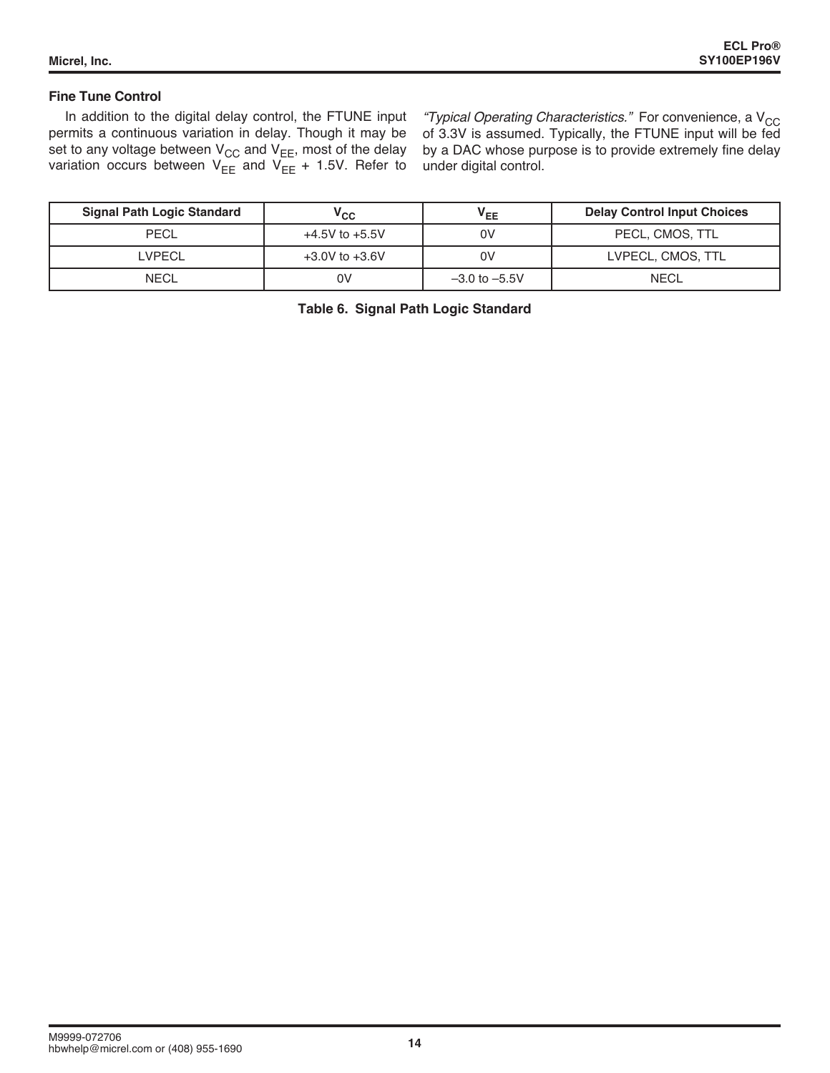### **Fine Tune Control**

In addition to the digital delay control, the FTUNE input permits a continuous variation in delay. Though it may be set to any voltage between  $\mathsf{V}_{\mathsf{CC}}$  and  $\mathsf{V}_{\mathsf{EE}}$ , most of the delay variation occurs between V<sub>EE</sub> and V<sub>EE</sub> + 1.5V. Refer to

"Typical Operating Characteristics." For convenience, a  $V_{CC}$ of 3.3V is assumed. Typically, the FTUNE input will be fed by a DAC whose purpose is to provide extremely fine delay under digital control.

| <b>Signal Path Logic Standard</b> | $\mathsf{v}_{\mathsf{cc}}$ | $\mathsf{v}_{\mathsf{EE}}$ | <b>Delay Control Input Choices</b> |  |
|-----------------------------------|----------------------------|----------------------------|------------------------------------|--|
| <b>PECL</b>                       | 0V<br>$+4.5V$ to $+5.5V$   |                            | PECL, CMOS, TTL                    |  |
| LVPECL                            | $+3.0V$ to $+3.6V$         | 0V                         | LVPECL, CMOS, TTL                  |  |
| <b>NECL</b>                       | 0V                         | $-3.0$ to $-5.5V$          | <b>NECL</b>                        |  |

**Table 6. Signal Path Logic Standard**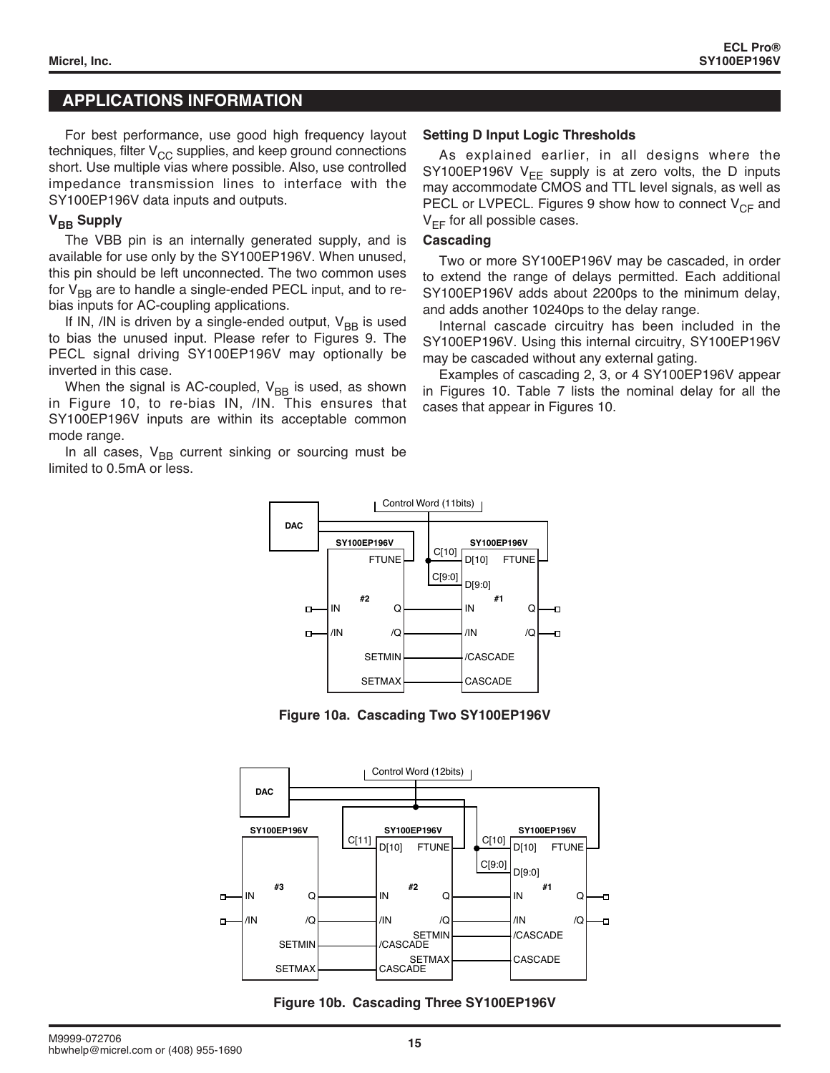#### **APPLICATIONS INFORMATION**

For best performance, use good high frequency layout techniques, filter  $V_{CC}$  supplies, and keep ground connections short. Use multiple vias where possible. Also, use controlled impedance transmission lines to interface with the SY100EP196V data inputs and outputs.

#### **V<sub>BB</sub>** Supply

The VBB pin is an internally generated supply, and is available for use only by the SY100EP196V. When unused, this pin should be left unconnected. The two common uses for  $V_{BB}$  are to handle a single-ended PECL input, and to rebias inputs for AC-coupling applications.

If IN, /IN is driven by a single-ended output,  $V_{BB}$  is used to bias the unused input. Please refer to Figures 9. The PECL signal driving SY100EP196V may optionally be inverted in this case.

When the signal is AC-coupled,  $V_{BB}$  is used, as shown in Figure 10, to re-bias IN, /IN. This ensures that SY100EP196V inputs are within its acceptable common mode range.

In all cases,  $V_{BB}$  current sinking or sourcing must be limited to 0.5mA or less.

#### **Setting D Input Logic Thresholds**

As explained earlier, in all designs where the SY100EP196V  $V_{FF}$  supply is at zero volts, the D inputs may accommodate CMOS and TTL level signals, as well as PECL or LVPECL. Figures 9 show how to connect  $V_{CF}$  and  $V_{EF}$  for all possible cases.

#### **Cascading**

Two or more SY100EP196V may be cascaded, in order to extend the range of delays permitted. Each additional SY100EP196V adds about 2200ps to the minimum delay, and adds another 10240ps to the delay range.

Internal cascade circuitry has been included in the SY100EP196V. Using this internal circuitry, SY100EP196V may be cascaded without any external gating.

Examples of cascading 2, 3, or 4 SY100EP196V appear in Figures 10. Table 7 lists the nominal delay for all the cases that appear in Figures 10.



**Figure 10a. Cascading Two SY100EP196V**



**Figure 10b. Cascading Three SY100EP196V**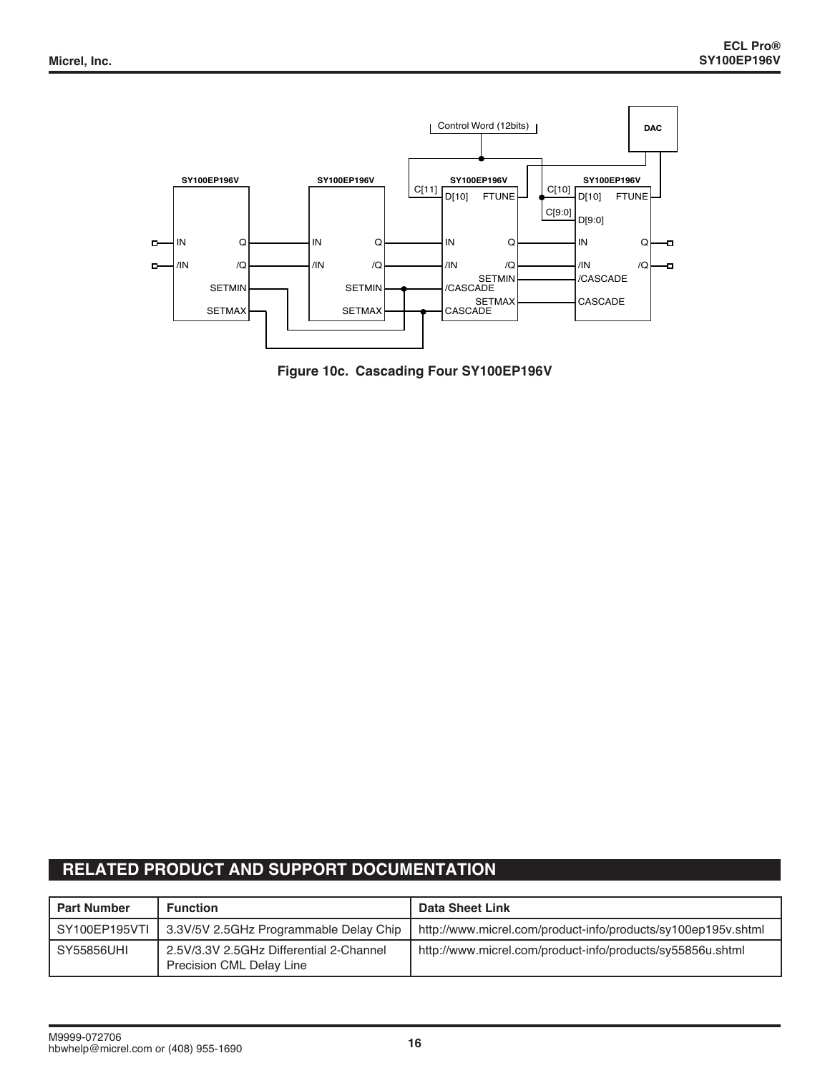

**Figure 10c. Cascading Four SY100EP196V**

# **RELATED PRODUCT AND SUPPORT DOCUMENTATION**

| <b>Part Number</b> | <b>Function</b>                                                     | <b>Data Sheet Link</b>                                        |  |  |
|--------------------|---------------------------------------------------------------------|---------------------------------------------------------------|--|--|
| I SY100EP195VTI    | 3.3V/5V 2.5GHz Programmable Delay Chip                              | http://www.micrel.com/product-info/products/sy100ep195v.shtml |  |  |
| SY55856UHI         | 2.5V/3.3V 2.5GHz Differential 2-Channel<br>Precision CML Delay Line | http://www.micrel.com/product-info/products/sy55856u.shtml    |  |  |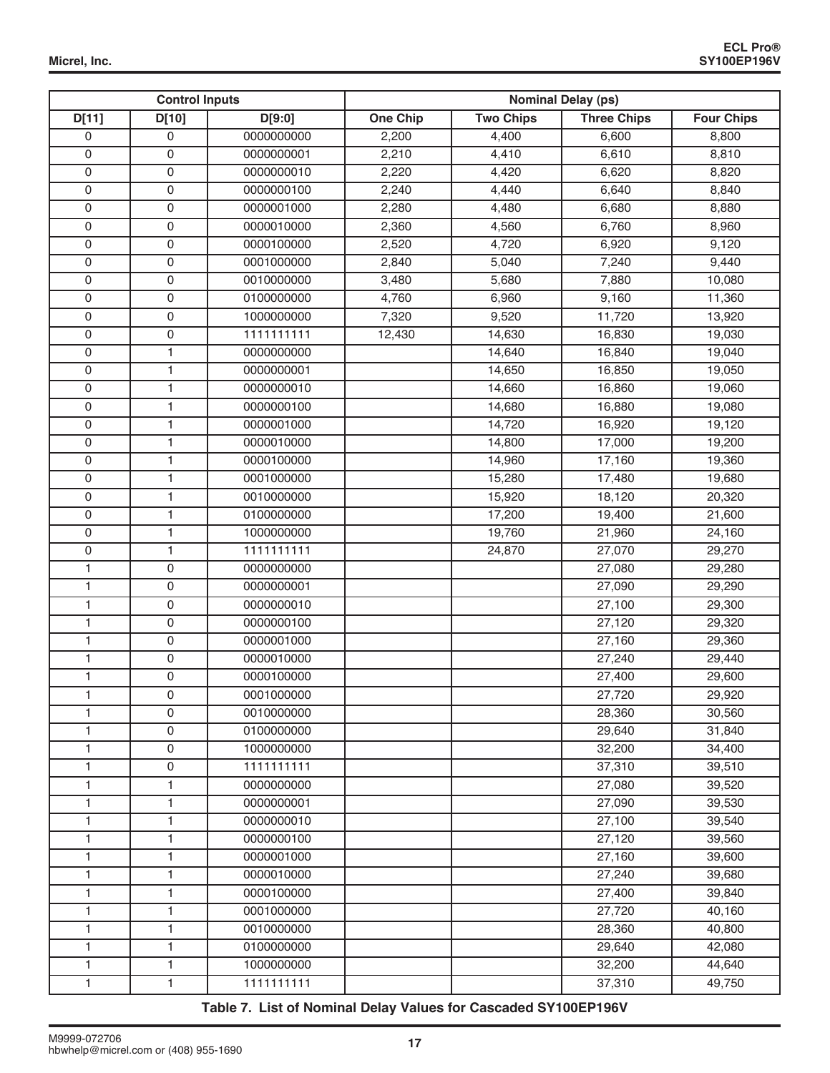| <b>Control Inputs</b> |                     | <b>Nominal Delay (ps)</b> |                 |                  |                    |                   |
|-----------------------|---------------------|---------------------------|-----------------|------------------|--------------------|-------------------|
| D[11]                 | D[10]               | D[9:0]                    | <b>One Chip</b> | <b>Two Chips</b> | <b>Three Chips</b> | <b>Four Chips</b> |
| 0                     | $\Omega$            | 0000000000                | 2,200           | 4,400            | 6,600              | 8,800             |
| $\mathsf{O}\xspace$   | $\mathsf{O}\xspace$ | 0000000001                | 2,210           | 4,410            | 6,610              | 8,810             |
| 0                     | $\mathbf 0$         | 0000000010                | 2,220           | 4,420            | 6,620              | 8,820             |
| $\mathsf{O}\xspace$   | $\mathsf{O}\xspace$ | 0000000100                | 2,240           | 4,440            | 6,640              | 8,840             |
| 0                     | 0                   | 0000001000                | 2,280           | 4,480            | 6,680              | 8,880             |
| $\mathsf{O}\xspace$   | 0                   | 0000010000                | 2,360           | 4,560            | 6,760              | 8,960             |
| $\mathsf{O}\xspace$   | $\mathsf{O}\xspace$ | 0000100000                | 2,520           | 4,720            | 6,920              | 9,120             |
| 0                     | $\mathbf 0$         | 0001000000                | 2,840           | 5,040            | 7,240              | 9,440             |
| $\overline{0}$        | $\mathsf{O}\xspace$ | 0010000000                | 3,480           | 5,680            | 7,880              | 10,080            |
| 0                     | 0                   | 0100000000                | 4,760           | 6,960            | 9,160              | 11,360            |
| $\mathsf{O}\xspace$   | $\mathsf 0$         | 1000000000                | 7,320           | 9,520            | 11,720             | 13,920            |
| 0                     | $\overline{0}$      | 1111111111                | 12,430          | 14,630           | 16,830             | 19,030            |
| 0                     | $\mathbf{1}$        | 0000000000                |                 | 14,640           | 16,840             | 19,040            |
| 0                     | $\mathbf{1}$        | 0000000001                |                 | 14,650           | 16,850             | 19,050            |
| 0                     | 1                   | 0000000010                |                 | 14,660           | 16,860             | 19,060            |
| $\overline{0}$        | $\overline{1}$      | 0000000100                |                 | 14,680           | 16,880             | 19,080            |
| $\mathsf{O}\xspace$   | 1                   | 0000001000                |                 | 14,720           | 16,920             | 19,120            |
| $\boldsymbol{0}$      | 1                   | 0000010000                |                 | 14,800           | 17,000             | 19,200            |
| 0                     | 1                   | 0000100000                |                 | 14,960           | 17,160             | 19,360            |
| $\overline{0}$        | $\mathbf{1}$        | 0001000000                |                 | 15,280           | 17,480             | 19,680            |
| 0                     | $\mathbf{1}$        | 0010000000                |                 | 15,920           | 18,120             | 20,320            |
| 0                     | 1                   | 0100000000                |                 | 17,200           | 19,400             | 21,600            |
| $\overline{0}$        | $\mathbf{1}$        | 1000000000                |                 | 19,760           | 21,960             | 24,160            |
| 0                     | 1                   | 1111111111                |                 | 24,870           | 27,070             | 29,270            |
| $\mathbf{1}$          | $\mathsf{O}\xspace$ | 0000000000                |                 |                  | 27,080             | 29,280            |
| 1                     | $\mathbf 0$         | 0000000001                |                 |                  | 27,090             | 29,290            |
| 1                     | 0                   | 0000000010                |                 |                  | 27,100             | 29,300            |
| 1                     | $\mathsf{O}\xspace$ | 0000000100                |                 |                  | 27,120             | 29,320            |
| 1                     | $\mathbf 0$         | 0000001000                |                 |                  | 27,160             | 29,360            |
| 1                     | $\mathsf{O}\xspace$ | 0000010000                |                 |                  | 27,240             | 29,440            |
| 1                     | 0                   | 0000100000                |                 |                  | 27,400             | 29,600            |
| 1                     | $\Omega$            | 0001000000                |                 |                  | 27,720             | 29,920            |
| 1                     | $\Omega$            | 0010000000                |                 |                  | 28,360             | 30,560            |
| 1                     | 0                   | 0100000000                |                 |                  | 29,640             | 31,840            |
| 1                     | 0                   | 1000000000                |                 |                  | 32,200             | 34,400            |
| 1                     | 0                   | 1111111111                |                 |                  | 37,310             | 39,510            |
| 1                     | 1                   | 0000000000                |                 |                  | 27,080             | 39,520            |
| 1                     | 1                   | 0000000001                |                 |                  | 27,090             | 39,530            |
| 1                     | 1                   | 0000000010                |                 |                  | 27,100             | 39,540            |
| 1                     | 1                   | 0000000100                |                 |                  | 27,120             | 39,560            |
| 1                     | 1                   | 0000001000                |                 |                  | 27,160             | 39,600            |
| 1.                    | 1                   | 0000010000                |                 |                  | 27,240             | 39,680            |
| 1                     | $\mathbf{1}$        | 0000100000                |                 |                  | 27,400             | 39,840            |
| 1                     | $\mathbf{1}$        | 0001000000                |                 |                  | 27,720             | 40,160            |
| 1                     | 1                   | 0010000000                |                 |                  | 28,360             | 40,800            |
| 1                     | 1                   | 0100000000                |                 |                  | 29,640             | 42,080            |
| 1                     | 1                   | 1000000000                |                 |                  | 32,200             | 44,640            |
| 1                     | 1                   | 1111111111                |                 |                  | 37,310             | 49,750            |

**Table 7. List of Nominal Delay Values for Cascaded SY100EP196V**